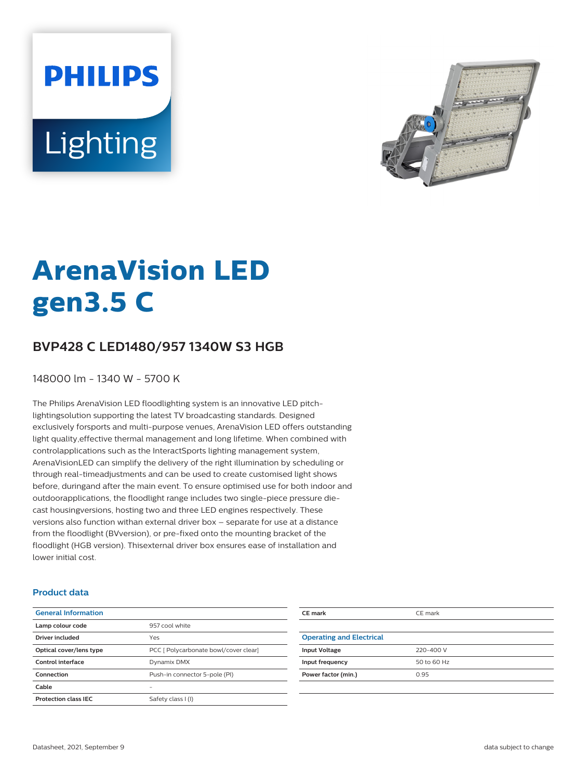# **PHILIPS** Lighting



## **ArenaVision LED gen3.5 C**

### **BVP428 C LED1480/957 1340W S3 HGB**

148000 lm - 1340 W - 5700 K

The Philips ArenaVision LED floodlighting system is an innovative LED pitchlightingsolution supporting the latest TV broadcasting standards. Designed exclusively forsports and multi-purpose venues, ArenaVision LED offers outstanding light quality,effective thermal management and long lifetime. When combined with controlapplications such as the InteractSports lighting management system, ArenaVisionLED can simplify the delivery of the right illumination by scheduling or through real-timeadjustments and can be used to create customised light shows before, duringand after the main event. To ensure optimised use for both indoor and outdoorapplications, the floodlight range includes two single-piece pressure diecast housingversions, hosting two and three LED engines respectively. These versions also function withan external driver box – separate for use at a distance from the floodlight (BVversion), or pre-fixed onto the mounting bracket of the floodlight (HGB version). Thisexternal driver box ensures ease of installation and lower initial cost.

#### **Product data**

| <b>General Information</b>  |                                       |  |
|-----------------------------|---------------------------------------|--|
| Lamp colour code            | 957 cool white                        |  |
| Driver included             | Yes                                   |  |
| Optical cover/lens type     | PCC [ Polycarbonate bowl/cover clear] |  |
| Control interface           | Dynamix DMX                           |  |
| Connection                  | Push-in connector 5-pole (PI)         |  |
| Cable                       |                                       |  |
| <b>Protection class IEC</b> | Safety class I (I)                    |  |
|                             |                                       |  |

| CE mark                         | CE mark     |
|---------------------------------|-------------|
|                                 |             |
| <b>Operating and Electrical</b> |             |
| <b>Input Voltage</b>            | 220-400 V   |
| Input frequency                 | 50 to 60 Hz |
| Power factor (min.)             | 0.95        |
|                                 |             |